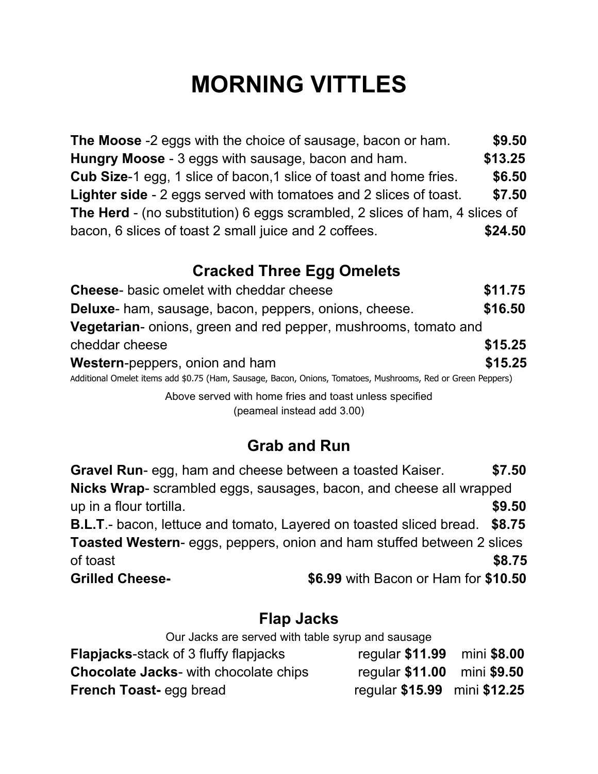# **MORNING VITTLES**

**The Moose** -2 eggs with the choice of sausage, bacon or ham. **\$9.50 Hungry Moose** - 3 eggs with sausage, bacon and ham. **\$13.25 Cub Size**-1 egg, 1 slice of bacon,1 slice of toast and home fries. **\$6.50 Lighter side** - 2 eggs served with tomatoes and 2 slices of toast. **\$7.50 The Herd** - (no substitution) 6 eggs scrambled, 2 slices of ham, 4 slices of bacon, 6 slices of toast 2 small juice and 2 coffees. **\$24.50**

## **Cracked Three Egg Omelets**

| <b>Cheese-</b> basic omelet with cheddar cheese                                                             | \$11.75 |
|-------------------------------------------------------------------------------------------------------------|---------|
| <b>Deluxe-</b> ham, sausage, bacon, peppers, onions, cheese.                                                | \$16.50 |
| Vegetarian- onions, green and red pepper, mushrooms, tomato and                                             |         |
| cheddar cheese                                                                                              | \$15.25 |
| <b>Western-peppers, onion and ham</b>                                                                       | \$15.25 |
| Additional Omelet items add \$0.75 (Ham, Sausage, Bacon, Onions, Tomatoes, Mushrooms, Red or Green Peppers) |         |
| Above served with home fries and toast unless specified                                                     |         |

(peameal instead add 3.00)

### **Grab and Run**

| <b>Gravel Run-</b> egg, ham and cheese between a toasted Kaiser.                   |                                      | \$7.50 |
|------------------------------------------------------------------------------------|--------------------------------------|--------|
| Nicks Wrap- scrambled eggs, sausages, bacon, and cheese all wrapped                |                                      |        |
| up in a flour tortilla.                                                            |                                      | \$9.50 |
| <b>B.L.T.</b> - bacon, lettuce and tomato, Layered on toasted sliced bread. \$8.75 |                                      |        |
| <b>Toasted Western-</b> eggs, peppers, onion and ham stuffed between 2 slices      |                                      |        |
| of toast                                                                           |                                      | \$8.75 |
| <b>Grilled Cheese-</b>                                                             | \$6.99 with Bacon or Ham for \$10.50 |        |

#### **Flap Jacks**

| Our Jacks are served with table syrup and sausage |                              |  |  |
|---------------------------------------------------|------------------------------|--|--|
| <b>Flapjacks-stack of 3 fluffy flapjacks</b>      | regular \$11.99 mini \$8.00  |  |  |
| <b>Chocolate Jacks- with chocolate chips</b>      | regular \$11.00 mini \$9.50  |  |  |
| <b>French Toast-egg bread</b>                     | regular \$15.99 mini \$12.25 |  |  |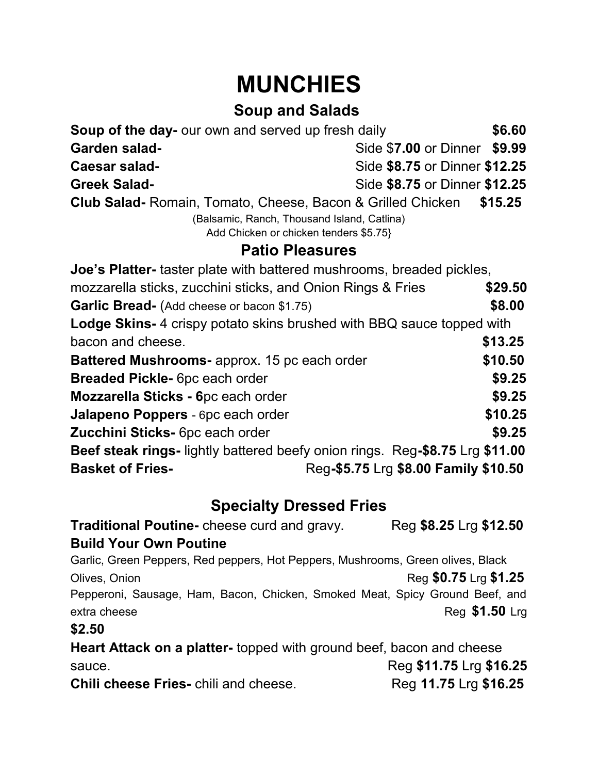# **MUNCHIES**

## **Soup and Salads**

| <b>Soup of the day-</b> our own and served up fresh daily                             |                                      |        |
|---------------------------------------------------------------------------------------|--------------------------------------|--------|
| <b>Garden salad-</b>                                                                  | Side \$7.00 or Dinner \$9.99         |        |
| Caesar salad-                                                                         | Side \$8.75 or Dinner \$12.25        |        |
| <b>Greek Salad-</b>                                                                   | Side \$8.75 or Dinner \$12.25        |        |
| <b>Club Salad-</b> Romain, Tomato, Cheese, Bacon & Grilled Chicken                    | \$15.25                              |        |
| (Balsamic, Ranch, Thousand Island, Catlina)<br>Add Chicken or chicken tenders \$5.75} |                                      |        |
| <b>Patio Pleasures</b>                                                                |                                      |        |
| <b>Joe's Platter-</b> taster plate with battered mushrooms, breaded pickles,          |                                      |        |
| mozzarella sticks, zucchini sticks, and Onion Rings & Fries                           | \$29.50                              |        |
| Garlic Bread- (Add cheese or bacon \$1.75)                                            |                                      | \$8.00 |
| <b>Lodge Skins-</b> 4 crispy potato skins brushed with BBQ sauce topped with          |                                      |        |
| bacon and cheese.                                                                     | \$13.25                              |        |
| <b>Battered Mushrooms-</b> approx. 15 pc each order                                   | \$10.50                              |        |
| <b>Breaded Pickle-</b> 6pc each order                                                 |                                      | \$9.25 |
| Mozzarella Sticks - 6pc each order                                                    |                                      | \$9.25 |
| Jalapeno Poppers - 6pc each order                                                     | \$10.25                              |        |
| Zucchini Sticks- 6pc each order                                                       |                                      | \$9.25 |
| <b>Beef steak rings-</b> lightly battered beefy onion rings. Reg-\$8.75 Lrg \$11.00   |                                      |        |
| <b>Basket of Fries-</b>                                                               | Reg-\$5.75 Lrg \$8.00 Family \$10.50 |        |

### **Specialty Dressed Fries**

**Traditional Poutine-** cheese curd and gravy. Reg \$8.25 Lrg \$12.50 **Build Your Own Poutine** Garlic, Green Peppers, Red peppers, Hot Peppers, Mushrooms, Green olives, Black Olives, Onion **Reg \$0.75** Lrg \$1.25 Pepperoni, Sausage, Ham, Bacon, Chicken, Smoked Meat, Spicy Ground Beef, and extra cheese **Reg \$1.50** Lrg **\$2.50 Heart Attack on a platter-** topped with ground beef, bacon and cheese sauce. Reg **\$11.75** Lrg **\$16.25 Chili cheese Fries-** chili and cheese. Reg **11.75** Lrg \$16.25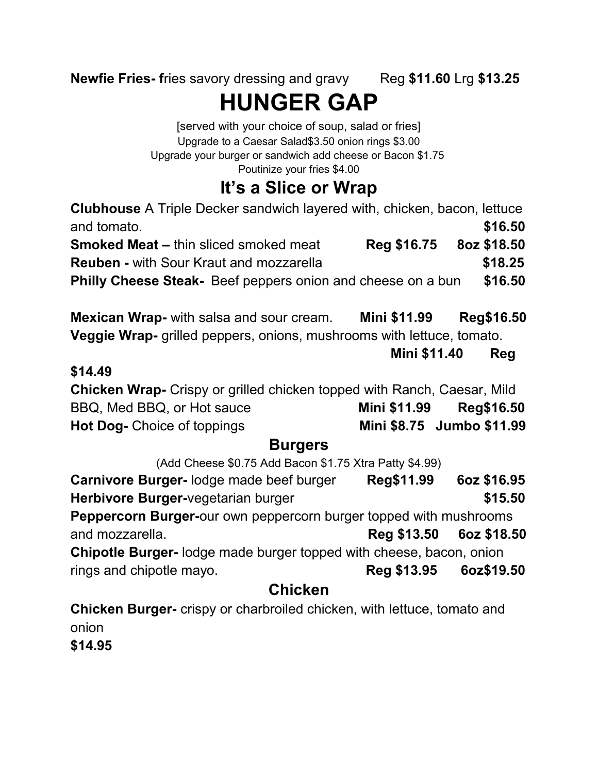**Newfie Fries- fries savory dressing and gravy Reg \$11.60 Lrg \$13.25** 

**HUNGER GAP**

[served with your choice of soup, salad or fries] Upgrade to a Caesar Salad\$3.50 onion rings \$3.00 Upgrade your burger or sandwich add cheese or Bacon \$1.75 Poutinize your fries \$4.00

# **It's a Slice or Wrap**

**Clubhouse** A Triple Decker sandwich layered with, chicken, bacon, lettuce and tomato. **\$16.50 Smoked Meat –** thin sliced smoked meat **Reg \$16.75 8oz \$18.50 Reuben - with Sour Kraut and mozzarella 18.25 Philly Cheese Steak-** Beef peppers onion and cheese on a bun **\$16.50 Mexican Wrap-** with salsa and sour cream. **Mini \$11.99 Reg\$16.50 Veggie Wrap-** grilled peppers, onions, mushrooms with lettuce, tomato. **Mini \$11.40 Reg \$14.49 Chicken Wrap-** Crispy or grilled chicken topped with Ranch, Caesar, Mild BBQ, Med BBQ, or Hot sauce **Mini \$11.99 Reg\$16.50 Hot Dog-** Choice of toppings **Mini \$8.75 Jumbo \$11.99 Burgers** (Add Cheese \$0.75 Add Bacon \$1.75 Xtra Patty \$4.99) **Carnivore Burger-** lodge made beef burger **Reg\$11.99 6oz \$16.95 Herbivore Burger-**vegetarian burger **1988 15.50 Peppercorn Burger-**our own peppercorn burger topped with mushrooms and mozzarella. **Reg \$13.50 6oz \$18.50 Chipotle Burger-** lodge made burger topped with cheese, bacon, onion rings and chipotle mayo. **Reg \$13.95 6oz\$19.50 Chicken**

**Chicken Burger-** crispy or charbroiled chicken, with lettuce, tomato and onion **\$14.95**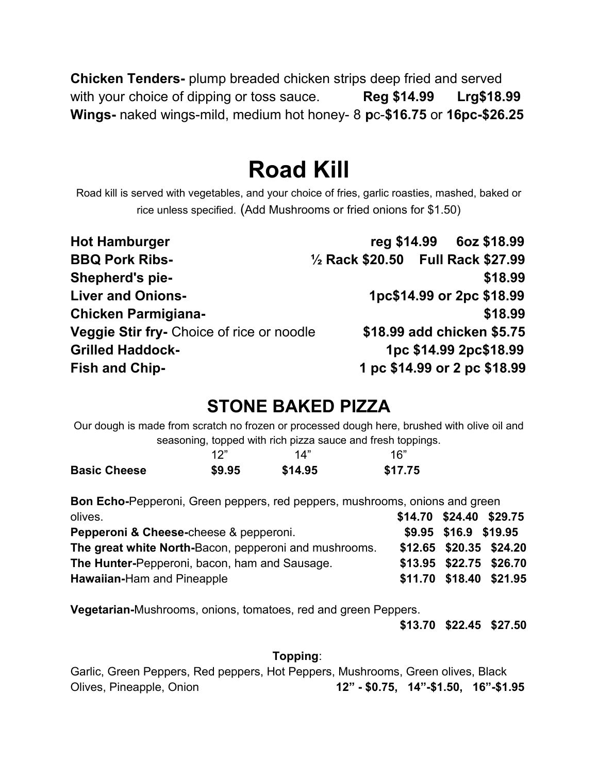**Chicken Tenders-** plump breaded chicken strips deep fried and served with your choice of dipping or toss sauce. **Reg \$14.99 Lrg\$18.99 Wings-** naked wings-mild, medium hot honey- 8 **p**c-**\$16.75** or **16pc-\$26.25**

# **Road Kill**

Road kill is served with vegetables, and your choice of fries, garlic roasties, mashed, baked or rice unless specified. (Add Mushrooms or fried onions for \$1.50)

| <b>Hot Hamburger</b>                      |                                    |  | reg \$14.99 6oz \$18.99   |
|-------------------------------------------|------------------------------------|--|---------------------------|
| <b>BBQ Pork Ribs-</b>                     | 1/2 Rack \$20.50 Full Rack \$27.99 |  |                           |
| Shepherd's pie-                           |                                    |  | \$18.99                   |
| <b>Liver and Onions-</b>                  |                                    |  | 1pc\$14.99 or 2pc \$18.99 |
| <b>Chicken Parmigiana-</b>                |                                    |  | \$18.99                   |
| Veggie Stir fry- Choice of rice or noodle | \$18.99 add chicken \$5.75         |  |                           |
| <b>Grilled Haddock-</b>                   |                                    |  | 1pc \$14.99 2pc\$18.99    |
| <b>Fish and Chip-</b>                     | 1 pc \$14.99 or 2 pc \$18.99       |  |                           |

## **STONE BAKED PIZZA**

Our dough is made from scratch no frozen or processed dough here, brushed with olive oil and seasoning, topped with rich pizza sauce and fresh toppings.

|                     | 1つ"    | 14"     | 16"     |
|---------------------|--------|---------|---------|
| <b>Basic Cheese</b> | \$9.95 | \$14.95 | \$17.75 |

**Bon Echo-**Pepperoni, Green peppers, red peppers, mushrooms, onions and green olives. **\$14.70 \$24.40 \$29.75**

| Pepperoni & Cheese-cheese & pepperoni.                | \$9.95 \$16.9 \$19.95 |                         |
|-------------------------------------------------------|-----------------------|-------------------------|
| The great white North-Bacon, pepperoni and mushrooms. |                       | \$12.65 \$20.35 \$24.20 |
| The Hunter-Pepperoni, bacon, ham and Sausage.         |                       | \$13.95 \$22.75 \$26.70 |
| <b>Hawaiian-Ham and Pineapple</b>                     |                       | \$11.70 \$18.40 \$21.95 |

**Vegetarian-**Mushrooms, onions, tomatoes, red and green Peppers.

 **\$13.70 \$22.45 \$27.50**

#### **Topping**:

Garlic, Green Peppers, Red peppers, Hot Peppers, Mushrooms, Green olives, Black Olives, Pineapple, Onion **12" - \$0.75, 14"-\$1.50, 16"-\$1.95**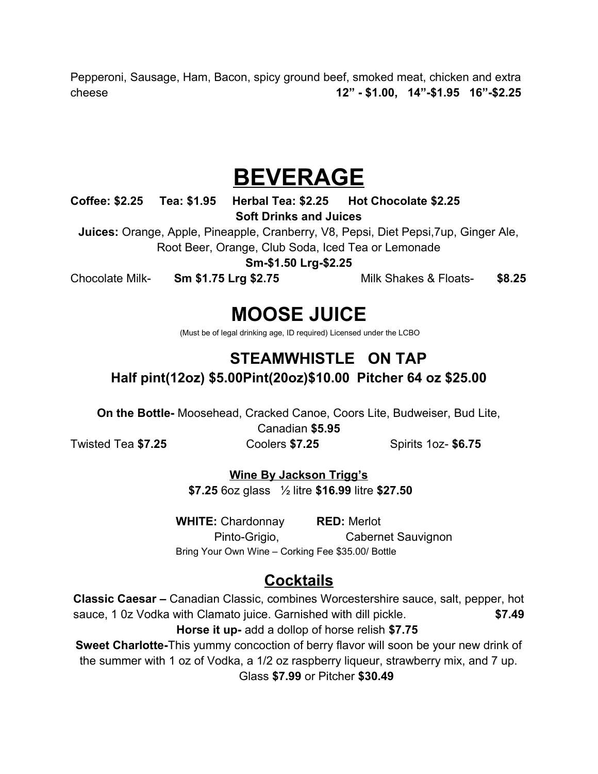Pepperoni, Sausage, Ham, Bacon, spicy ground beef, smoked meat, chicken and extra cheese **12" - \$1.00, 14"-\$1.95 16"-\$2.25**

# **BEVERAGE**

**Coffee: \$2.25 Tea: \$1.95 Herbal Tea: \$2.25 Hot Chocolate \$2.25 Soft Drinks and Juices**

**Juices:** Orange, Apple, Pineapple, Cranberry, V8, Pepsi, Diet Pepsi,7up, Ginger Ale, Root Beer, Orange, Club Soda, Iced Tea or Lemonade

**Sm-\$1.50 Lrg-\$2.25**

Chocolate Milk- **Sm \$1.75 Lrg \$2.75** Milk Shakes & Floats- **\$8.25**

## **MOOSE JUICE**

(Must be of legal drinking age, ID required) Licensed under the LCBO

#### **STEAMWHISTLE ON TAP Half pint(12oz) \$5.00Pint(20oz)\$10.00 Pitcher 64 oz \$25.00**

**On the Bottle-** Moosehead, Cracked Canoe, Coors Lite, Budweiser, Bud Lite,

Canadian **\$5.95**

Twisted Tea **\$7.25** Coolers **\$7.25** Spirits 1oz- **\$6.75**

**Wine By Jackson Trigg's**

**\$7.25** 6oz glass ½ litre **\$16.99** litre **\$27.50**

**WHITE:** Chardonnay **RED:** Merlot Pinto-Grigio, Cabernet Sauvignon Bring Your Own Wine – Corking Fee \$35.00/ Bottle

### **Cocktails**

**Classic Caesar –** Canadian Classic, combines Worcestershire sauce, salt, pepper, hot sauce, 1 0z Vodka with Clamato juice. Garnished with dill pickle. **\$7.49 Horse it up-** add a dollop of horse relish **\$7.75**

**Sweet Charlotte-**This yummy concoction of berry flavor will soon be your new drink of the summer with 1 oz of Vodka, a 1/2 oz raspberry liqueur, strawberry mix, and 7 up. Glass **\$7.99** or Pitcher **\$30.49**